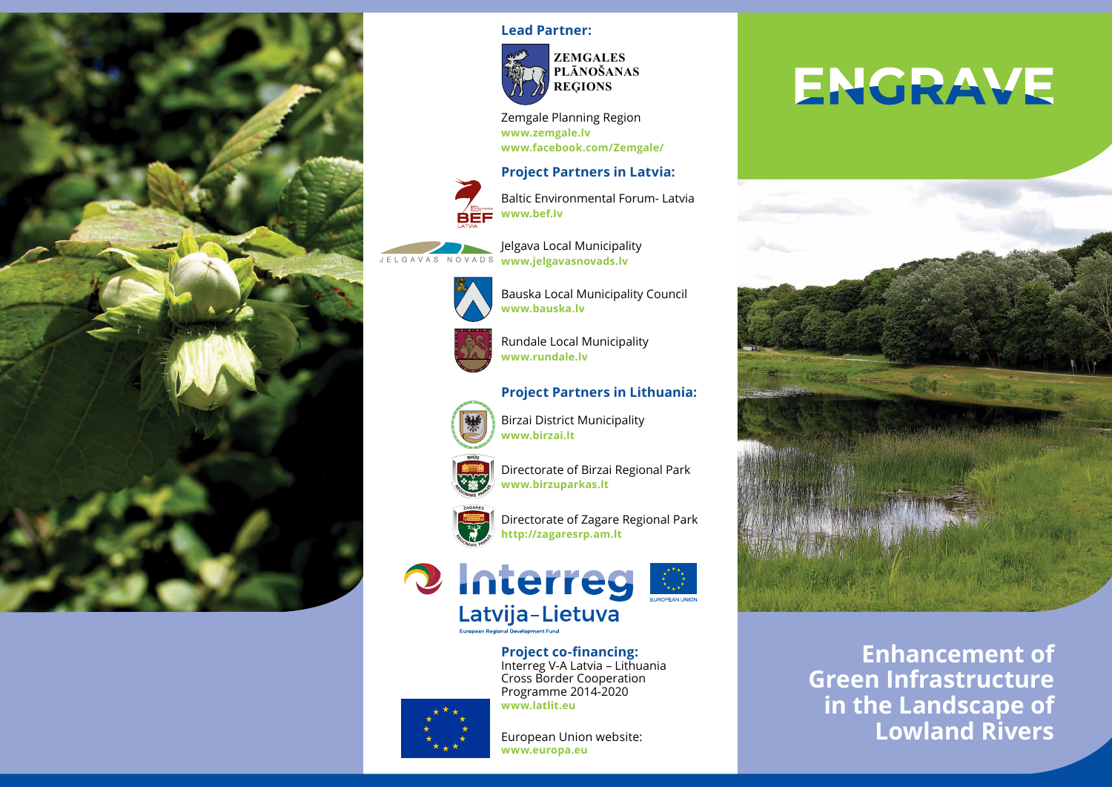

#### **Lead Partner:**



Zemgale Planning Region **www.zemgale.lv www.facebook.com/Zemgale/** 

#### **Project Partners in Latvia:**



JELGAVAS

Baltic Environmental Forum- Latvia **www.bef.lv**

Bauska Local Municipality Council

Jelgava Local Municipality NOVADS **www.jelgavasnovads.lv**

**www.bauska.lv**





Rundale Local Municipality **www.rundale.lv**

#### **Project Partners in Lithuania:**



Birzai District Municipality **www.birzai.lt**



Directorate of Birzai Regional Park **www.birzuparkas.lt**



Directorate of Zagare Regional Park **http://zagaresrp.am.lt**



**Project co-financing:** Interreg V-A Latvia – Lithuania Cross Border Cooperation Programme 2014-2020



**www.latlit.eu**

European Union website: **www.europa.eu**

# **ENGRAVE**



**Enhancement of Green Infrastructure in the Landscape of Lowland Rivers**